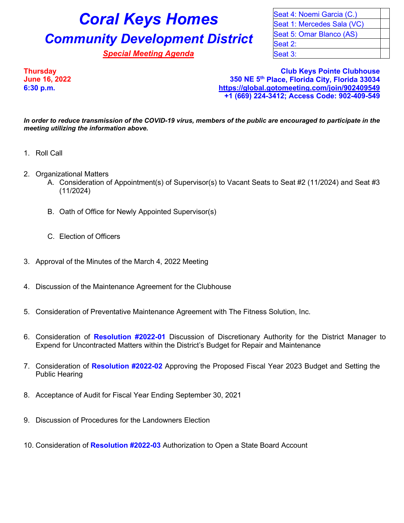## **Coral Keys Homes** Seat 4: Noemi Garcia (C.) **Community Development District** Seat 5: Omar Blanco (AS)

**Special Meeting Agenda** Special Seat 3:

Seat 1: Mercedes Sala (VC) Seat 2:

**Thursday Club Keys Pointe Clubhouse June 16, 2022 350 NE 5th Place, Florida City, Florida 33034 6:30 p.m. <https://global.gotomeeting.com/join/902409549> +1 (669) 224-3412; Access Code: 902-409-549**

*In order to reduce transmission of the COVID-19 virus, members of the public are encouraged to participate in the meeting utilizing the information above.*

- 1. Roll Call
- 2. Organizational Matters
	- A. Consideration of Appointment(s) of Supervisor(s) to Vacant Seats to Seat #2 (11/2024) and Seat #3 (11/2024)
	- B. Oath of Office for Newly Appointed Supervisor(s)
	- C. Election of Officers
- 3. Approval of the Minutes of the March 4, 2022 Meeting
- 4. Discussion of the Maintenance Agreement for the Clubhouse
- 5. Consideration of Preventative Maintenance Agreement with The Fitness Solution, Inc.
- 6. Consideration of **Resolution #2022-01** Discussion of Discretionary Authority for the District Manager to Expend for Uncontracted Matters within the District's Budget for Repair and Maintenance
- 7. Consideration of **Resolution #2022-02** Approving the Proposed Fiscal Year 2023 Budget and Setting the Public Hearing
- 8. Acceptance of Audit for Fiscal Year Ending September 30, 2021
- 9. Discussion of Procedures for the Landowners Election
- 10. Consideration of **Resolution #2022-03** Authorization to Open a State Board Account